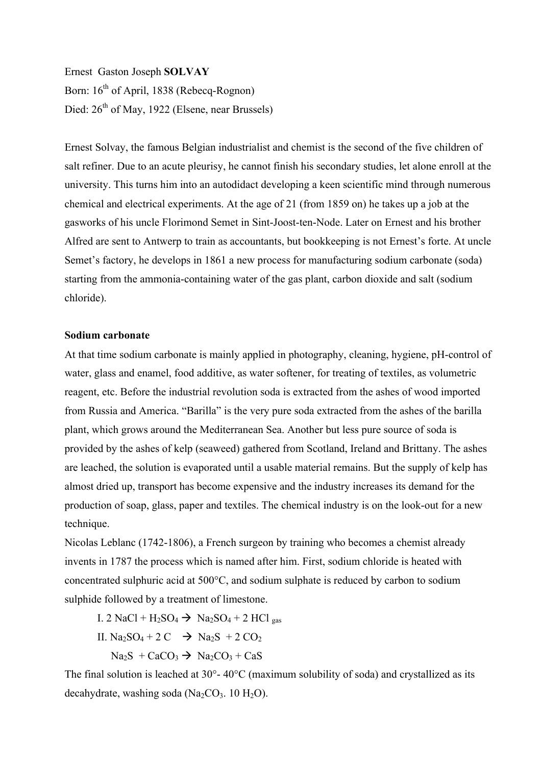Ernest Gaston Joseph **SOLVAY** Born:  $16<sup>th</sup>$  of April, 1838 (Rebecq-Rognon) Died:  $26<sup>th</sup>$  of May, 1922 (Elsene, near Brussels)

Ernest Solvay, the famous Belgian industrialist and chemist is the second of the five children of salt refiner. Due to an acute pleurisy, he cannot finish his secondary studies, let alone enroll at the university. This turns him into an autodidact developing a keen scientific mind through numerous chemical and electrical experiments. At the age of 21 (from 1859 on) he takes up a job at the gasworks of his uncle Florimond Semet in Sint-Joost-ten-Node. Later on Ernest and his brother Alfred are sent to Antwerp to train as accountants, but bookkeeping is not Ernest's forte. At uncle Semet's factory, he develops in 1861 a new process for manufacturing sodium carbonate (soda) starting from the ammonia-containing water of the gas plant, carbon dioxide and salt (sodium chloride).

## **Sodium carbonate**

At that time sodium carbonate is mainly applied in photography, cleaning, hygiene, pH-control of water, glass and enamel, food additive, as water softener, for treating of textiles, as volumetric reagent, etc. Before the industrial revolution soda is extracted from the ashes of wood imported from Russia and America. "Barilla" is the very pure soda extracted from the ashes of the barilla plant, which grows around the Mediterranean Sea. Another but less pure source of soda is provided by the ashes of kelp (seaweed) gathered from Scotland, Ireland and Brittany. The ashes are leached, the solution is evaporated until a usable material remains. But the supply of kelp has almost dried up, transport has become expensive and the industry increases its demand for the production of soap, glass, paper and textiles. The chemical industry is on the look-out for a new technique.

Nicolas Leblanc (1742-1806), a French surgeon by training who becomes a chemist already invents in 1787 the process which is named after him. First, sodium chloride is heated with concentrated sulphuric acid at 500°C, and sodium sulphate is reduced by carbon to sodium sulphide followed by a treatment of limestone.

I. 2 NaCl + H<sub>2</sub>SO<sub>4</sub>  $\rightarrow$  Na<sub>2</sub>SO<sub>4</sub> + 2 HCl gas

II. Na<sub>2</sub>SO<sub>4</sub> + 2 C  $\rightarrow$  Na<sub>2</sub>S + 2 CO<sub>2</sub>

 $Na<sub>2</sub>S + CaCO<sub>3</sub> \rightarrow Na<sub>2</sub>CO<sub>3</sub> + CaS$ 

The final solution is leached at 30°- 40°C (maximum solubility of soda) and crystallized as its decahydrate, washing soda  $(Na_2CO_3. 10 H_2O)$ .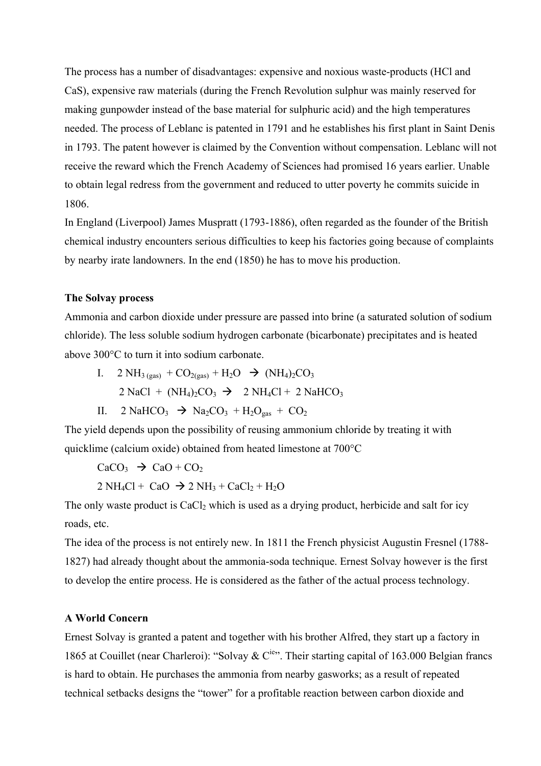The process has a number of disadvantages: expensive and noxious waste-products (HCl and CaS), expensive raw materials (during the French Revolution sulphur was mainly reserved for making gunpowder instead of the base material for sulphuric acid) and the high temperatures needed. The process of Leblanc is patented in 1791 and he establishes his first plant in Saint Denis in 1793. The patent however is claimed by the Convention without compensation. Leblanc will not receive the reward which the French Academy of Sciences had promised 16 years earlier. Unable to obtain legal redress from the government and reduced to utter poverty he commits suicide in 1806.

In England (Liverpool) James Muspratt (1793-1886), often regarded as the founder of the British chemical industry encounters serious difficulties to keep his factories going because of complaints by nearby irate landowners. In the end (1850) he has to move his production.

## **The Solvay process**

Ammonia and carbon dioxide under pressure are passed into brine (a saturated solution of sodium chloride). The less soluble sodium hydrogen carbonate (bicarbonate) precipitates and is heated above 300°C to turn it into sodium carbonate.

- I.  $2 NH_{3 (gas)} + CO_{2 (gas)} + H_2O \rightarrow (NH_4)_2CO_3$  $2$  NaCl + (NH<sub>4</sub>)<sub>2</sub>CO<sub>3</sub>  $\rightarrow$  2 NH<sub>4</sub>Cl + 2 NaHCO<sub>3</sub>
- II.  $2 \text{ NaHCO}_3 \rightarrow \text{Na}_2\text{CO}_3 + \text{H}_2\text{O}_{\text{gas}} + \text{CO}_2$

The yield depends upon the possibility of reusing ammonium chloride by treating it with quicklime (calcium oxide) obtained from heated limestone at 700°C

$$
CaCO3 \rightarrow CaO + CO2
$$
  
2 NH<sub>4</sub>Cl + CaO  $\rightarrow$  2 NH<sub>3</sub> + CaCl<sub>2</sub> + H<sub>2</sub>O

The only waste product is  $CaCl<sub>2</sub>$  which is used as a drying product, herbicide and salt for icy roads, etc.

The idea of the process is not entirely new. In 1811 the French physicist Augustin Fresnel (1788- 1827) had already thought about the ammonia-soda technique. Ernest Solvay however is the first to develop the entire process. He is considered as the father of the actual process technology.

## **A World Concern**

Ernest Solvay is granted a patent and together with his brother Alfred, they start up a factory in 1865 at Couillet (near Charleroi): "Solvay & C<sup>ie</sup>". Their starting capital of 163.000 Belgian francs is hard to obtain. He purchases the ammonia from nearby gasworks; as a result of repeated technical setbacks designs the "tower" for a profitable reaction between carbon dioxide and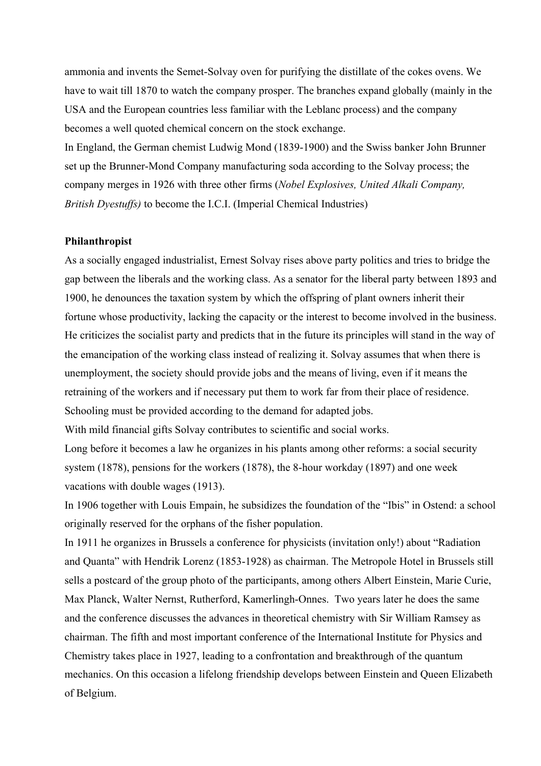ammonia and invents the Semet-Solvay oven for purifying the distillate of the cokes ovens. We have to wait till 1870 to watch the company prosper. The branches expand globally (mainly in the USA and the European countries less familiar with the Leblanc process) and the company becomes a well quoted chemical concern on the stock exchange.

In England, the German chemist Ludwig Mond (1839-1900) and the Swiss banker John Brunner set up the Brunner-Mond Company manufacturing soda according to the Solvay process; the company merges in 1926 with three other firms (*Nobel Explosives, United Alkali Company, British Dyestuffs)* to become the I.C.I. (Imperial Chemical Industries)

## **Philanthropist**

As a socially engaged industrialist, Ernest Solvay rises above party politics and tries to bridge the gap between the liberals and the working class. As a senator for the liberal party between 1893 and 1900, he denounces the taxation system by which the offspring of plant owners inherit their fortune whose productivity, lacking the capacity or the interest to become involved in the business. He criticizes the socialist party and predicts that in the future its principles will stand in the way of the emancipation of the working class instead of realizing it. Solvay assumes that when there is unemployment, the society should provide jobs and the means of living, even if it means the retraining of the workers and if necessary put them to work far from their place of residence. Schooling must be provided according to the demand for adapted jobs.

With mild financial gifts Solvay contributes to scientific and social works.

Long before it becomes a law he organizes in his plants among other reforms: a social security system (1878), pensions for the workers (1878), the 8-hour workday (1897) and one week vacations with double wages (1913).

In 1906 together with Louis Empain, he subsidizes the foundation of the "Ibis" in Ostend: a school originally reserved for the orphans of the fisher population.

In 1911 he organizes in Brussels a conference for physicists (invitation only!) about "Radiation and Quanta" with Hendrik Lorenz (1853-1928) as chairman. The Metropole Hotel in Brussels still sells a postcard of the group photo of the participants, among others Albert Einstein, Marie Curie, Max Planck, Walter Nernst, Rutherford, Kamerlingh-Onnes. Two years later he does the same and the conference discusses the advances in theoretical chemistry with Sir William Ramsey as chairman. The fifth and most important conference of the International Institute for Physics and Chemistry takes place in 1927, leading to a confrontation and breakthrough of the quantum mechanics. On this occasion a lifelong friendship develops between Einstein and Queen Elizabeth of Belgium.